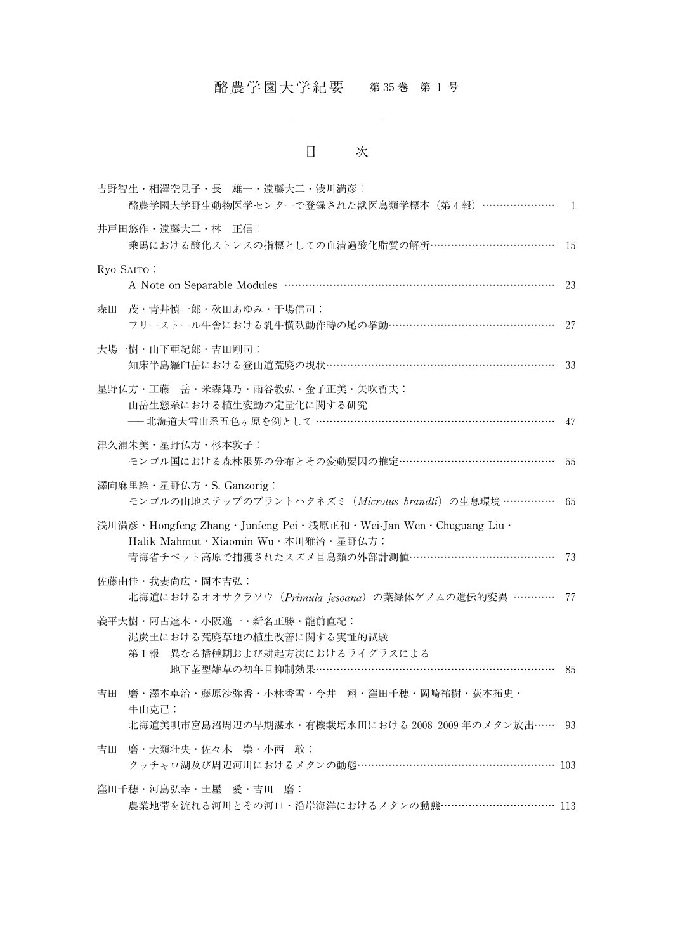# 酪農学園大学紀要 第 35巻 第 1 号

## 目 次

| 吉野智生·相澤空見子·長 雄一·遠藤大二·浅川満彦:<br>酪農学園大学野生動物医学センターで登録された獣医鳥類学標本 (第4報) ………………… 1                                                                       |      |
|---------------------------------------------------------------------------------------------------------------------------------------------------|------|
| 井戸田悠作・遠藤大二・林 正信:<br>乗馬における酸化ストレスの指標としての血清過酸化脂質の解析……………………………… 15                                                                                  |      |
| Ryo SAITO:                                                                                                                                        | 23   |
| 茂・青井慎一郎・秋田あゆみ・干場信司:<br>森田<br>フリーストール牛舎における乳牛横臥動作時の尾の挙動…………………………………………                                                                            | -27  |
| 大場一樹・山下亜紀郎・吉田剛司:<br>知床半島羅臼岳における登山道荒廃の現状…………………………………………………………                                                                                     | - 33 |
| 星野仏方・工藤 岳・米森舞乃・雨谷教弘・金子正美・矢吹哲夫:<br>山岳生態系における植生変動の定量化に関する研究                                                                                         |      |
| 津久浦朱美・星野仏方・杉本敦子:<br>モンゴル国における森林限界の分布とその変動要因の推定………………………………………                                                                                     | - 55 |
| 澤向麻里絵·星野仏方·S. Ganzorig:<br>モンゴルの山地ステップのブラントハタネズミ (Microtus brandti) の生息環境 ……………                                                                   | -65  |
| 浅川満彦・Hongfeng Zhang・Junfeng Pei・浅原正和・Wei-Jan Wen・Chuguang Liu・<br>Halik Mahmut・Xiaomin Wu・本川雅治・星野仏方:<br>青海省チベット高原で捕獲されたスズメ目鳥類の外部計測値…………………………………… | 73   |
| 佐藤由佳・我妻尚広・岡本吉弘:<br>北海道におけるオオサクラソウ (Primula jesoana) の葉緑体ゲノムの遺伝的変異 ………… 77                                                                         |      |
| 義平大樹・阿古達木・小阪進一・新名正勝・龍前直紀:<br>泥炭土における荒廃草地の植生改善に関する実証的試験<br>第1報 異なる播種期および耕起方法におけるライグラスによる<br>地下茎型雑草の初年目抑制効果……………………………………………………………                  | - 85 |
| 吉田<br>磨・澤本卓治・藤原沙弥香・小林香雪・今井 翔・窪田千穂・岡崎祐樹・荻本拓史・<br>牛山克己:<br>北海道美唄市宮島沼周辺の早期湛水・有機栽培水田における 2008-2009 年のメタン放出…… 93                                       |      |
| 吉田<br>磨・大類壮央・佐々木 崇・小西 敢:<br>クッチャロ湖及び周辺河川におけるメタンの動態………………………………………………… 103                                                                         |      |
| 窪田千穂・河島弘幸・土屋 愛・吉田<br>麼 :<br>農業地帯を流れる河川とその河口・沿岸海洋におけるメタンの動態…………………………… 113                                                                         |      |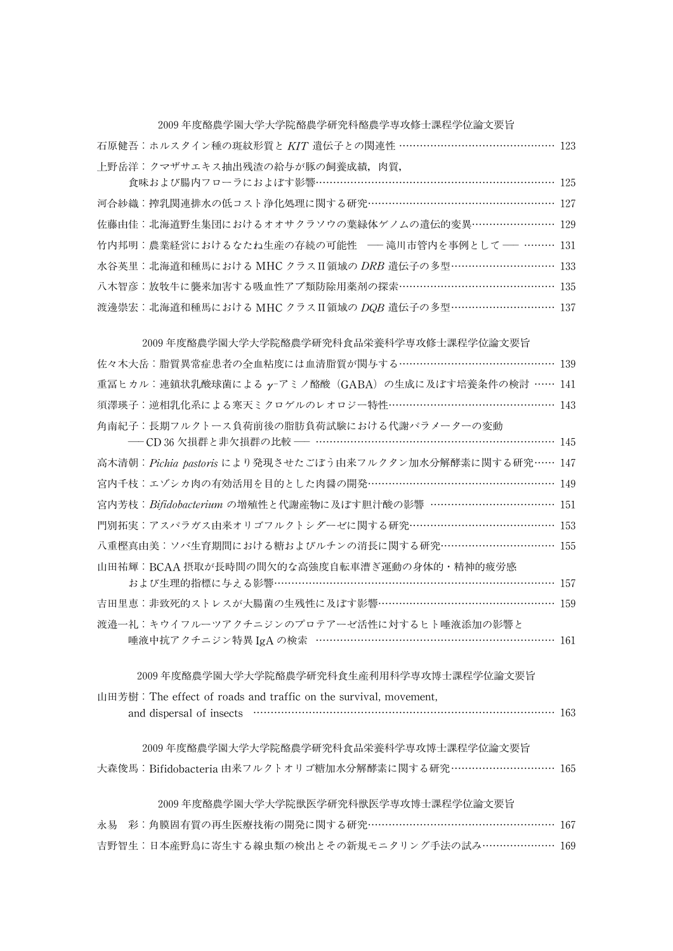### 2009年度酪農学園大学大学院酪農学研究科酪農学専攻修士課程学位論文要旨

石原健吾:ホルスタイン種の斑紋形質と KIT 遺伝子との関連性 ……………………………………… 123 上野岳洋:クマザサエキス抽出残渣の給与が豚の飼養成績,肉質,

食味および腸内フローラにおよぼす影響……………………………………………………… 125 河合紗織:搾乳関連排水の低コスト浄化処理に関する研究……………………………………………… 127 佐藤由佳:北海道野生集団におけるオオサクラソウの葉緑体ゲノムの遺伝的変異…………………… 129 竹内邦明:農業経営におけるなたね生産の存続の可能性 – 滝川市管内を事例として – ……… 131 水谷英里: 北海道和種馬における MHC クラス II 領域の DRB 遺伝子の多型 ………………………… 133 八木智彦:放牧牛に襲来加害する吸血性アブ類防除用薬剤の探索……………………………………… 135 渡邊崇宏: 北海道和種馬における MHC クラスII領域の DQB 遺伝子の多型 ……………………… 137

| 2009 年度酪農学園大学大学院酪農学研究科食品栄養科学専攻修士課程学位論文要旨                                                      |  |
|-----------------------------------------------------------------------------------------------|--|
| 佐々木大岳: 脂質異常症患者の全血粘度には血清脂質が関与する……………………………………… 139                                             |  |
| 重冨ヒカル:連鎖状乳酸球菌による γ-アミノ酪酸 (GABA) の生成に及ぼす培養条件の検討 …… 141                                         |  |
| 須澤瑛子:逆相乳化系による寒天ミクロゲルのレオロジー特性………………………………………… 143                                              |  |
| 角南紀子:長期フルクトース負荷前後の脂肪負荷試験における代謝パラメーターの変動<br>─ CD 36 欠損群と非欠損群の比較 ─ ………………………………………………………… 145   |  |
| 高木清朝: Pichia pastoris により発現させたごぼう由来フルクタン加水分解酵素に関する研究…… 147                                    |  |
| 宮内千枝:エゾシカ肉の有効活用を目的とした肉醤の開発……………………………………………… 149                                              |  |
| 宮内芳枝: Bifidobacterium の増殖性と代謝産物に及ぼす胆汁酸の影響 ……………………………… 151                                    |  |
| 門別拓実:アスパラガス由来オリゴフルクトシダーゼに関する研究…………………………………… 153                                              |  |
| 八重樫真由美: ソバ生育期間における糖およびルチンの消長に関する研究…………………………… 155                                             |  |
| 山田祐輝:BCAA 摂取が長時間の間欠的な高強度自転車漕ぎ運動の身体的・精神的疲労感<br>および生理的指標に与える影響…………………………………………………………………… 157    |  |
| 吉田里恵:非致死的ストレスが大腸菌の生残性に及ぼす影響…………………………………………… 159                                              |  |
| 渡邉一礼:キウイフルーツアクチニジンのプロテアーゼ活性に対するヒト唾液添加の影響と<br>唾液中抗アクチニジン特異 IgA の検索 …………………………………………………………… 161 |  |
| 2009年度酪農学園大学大学院酪農学研究科食生産利用科学専攻博士課程学位論文要旨                                                      |  |
| 山田芳樹: The effect of roads and traffic on the survival, movement,                              |  |
|                                                                                               |  |
| 2009年度酪農学園大学大学院酪農学研究科食品栄養科学専攻博士課程学位論文要旨                                                       |  |
| 大森俊馬:Bifidobacteria 由来フルクトオリゴ糖加水分解酵素に関する研究 ………………………… 165                                     |  |
| 2009 年度酪農学園大学大学院獣医学研究科獣医学専攻博士課程学位論文要旨                                                         |  |
| 彩: 角膜固有質の再生医療技術の開発に関する研究…………………………………………… 167<br>永易                                           |  |

吉野智生:日本産野鳥に寄生する線虫類の検出とその新規モニタリング手法の試み………………… 169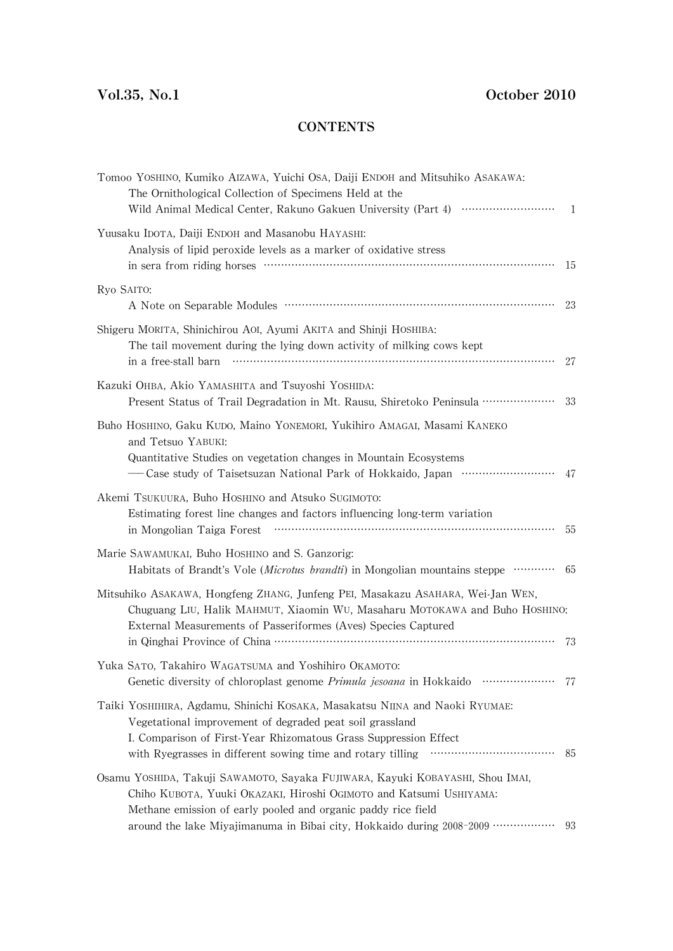### **CONTENTS**

| Tomoo YOSHINO, Kumiko AIZAWA, Yuichi OSA, Daiji ENDOH and Mitsuhiko ASAKAWA:<br>The Ornithological Collection of Specimens Held at the                                                                                                                                                                                                                                     |                |
|----------------------------------------------------------------------------------------------------------------------------------------------------------------------------------------------------------------------------------------------------------------------------------------------------------------------------------------------------------------------------|----------------|
| Wild Animal Medical Center, Rakuno Gakuen University (Part 4) ·······························                                                                                                                                                                                                                                                                              | $\overline{1}$ |
| Yuusaku IDOTA, Daiji ENDOH and Masanobu HAYASHI:<br>Analysis of lipid peroxide levels as a marker of oxidative stress                                                                                                                                                                                                                                                      | 15             |
| Ryo SAITO:                                                                                                                                                                                                                                                                                                                                                                 | 23             |
| Shigeru MORITA, Shinichirou AOI, Ayumi AKITA and Shinji HOSHIBA:<br>The tail movement during the lying down activity of milking cows kept<br>in a free-stall barn minimum contracts are the state of the state of the state of the state of the state of the state of the state of the state of the state of the state of the state of the state of the state of the state | 27             |
| Kazuki OHBA, Akio YAMASHITA and Tsuyoshi YOSHIDA:<br>Present Status of Trail Degradation in Mt. Rausu, Shiretoko Peninsula ·····················                                                                                                                                                                                                                           | 33             |
| Buho HOSHINO, Gaku KUDO, Maino YONEMORI, Yukihiro AMAGAI, Masami KANEKO<br>and Tetsuo YABUKI:<br>Quantitative Studies on vegetation changes in Mountain Ecosystems                                                                                                                                                                                                         | 47             |
| Akemi TSUKUURA, Buho HOSHINO and Atsuko SUGIMOTO:<br>Estimating forest line changes and factors influencing long-term variation<br>in Mongolian Taiga Forest                                                                                                                                                                                                               | -55            |
| Marie SAWAMUKAI, Buho HOSHINO and S. Ganzorig:<br>Habitats of Brandt's Vole (Microtus brandti) in Mongolian mountains steppe                                                                                                                                                                                                                                               | - 65           |
| Mitsuhiko ASAKAWA, Hongfeng ZHANG, Junfeng PEI, Masakazu ASAHARA, Wei-Jan WEN,<br>Chuguang LIU, Halik MAHMUT, Xiaomin WU, Masaharu MOTOKAWA and Buho HOSHINO:<br>External Measurements of Passeriformes (Aves) Species Captured                                                                                                                                            | -73            |
| Yuka SATO, Takahiro WAGATSUMA and Yoshihiro OKAMOTO:<br>.<br>Genetic diversity of chloroplast genome Primula jesoana in Hokkaido                                                                                                                                                                                                                                           | 77             |
| Taiki YosHIHIRA, Agdamu, Shinichi KOSAKA, Masakatsu NIINA and Naoki RYUMAE:<br>Vegetational improvement of degraded peat soil grassland<br>I. Comparison of First-Year Rhizomatous Grass Suppression Effect<br><br>with Ryegrasses in different sowing time and rotary tilling                                                                                             | -85            |
| Osamu YOSHIDA, Takuji SAWAMOTO, Sayaka FUJIWARA, Kayuki KOBAYASHI, Shou IMAI,<br>Chiho KUBOTA, Yuuki OKAZAKI, Hiroshi OGIMOTO and Katsumi USHIYAMA:<br>Methane emission of early pooled and organic paddy rice field<br>around the lake Miyajimanuma in Bibai city, Hokkaido during 2008-2009 ··················                                                           | 93             |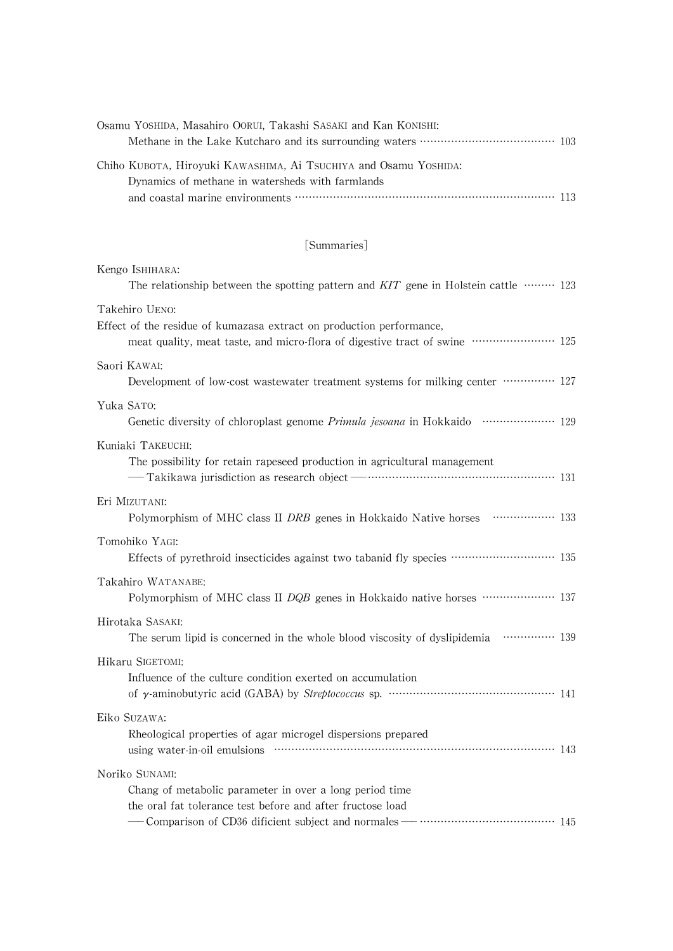| Osamu YOSHIDA, Masahiro OORUI, Takashi SASAKI and Kan KONISHI:   |  |
|------------------------------------------------------------------|--|
|                                                                  |  |
| Chiho KUBOTA, Hirovuki KAWASHIMA, Ai TSUCHIYA and Osamu YOSHIDA: |  |
| Dynamics of methane in watersheds with farmlands                 |  |
|                                                                  |  |

### [Summaries]

| Kengo ISHIHARA:<br>The relationship between the spotting pattern and $KIT$ gene in Holstein cattle $\cdots$ 123                                                                                                          |  |
|--------------------------------------------------------------------------------------------------------------------------------------------------------------------------------------------------------------------------|--|
| Takehiro UENO:<br>Effect of the residue of kumazasa extract on production performance,<br>meat quality, meat taste, and micro-flora of digestive tract of swine …………………… 125                                             |  |
| Saori KAWAI:<br>Development of low-cost wastewater treatment systems for milking center …………… 127                                                                                                                        |  |
| Yuka SATO:<br>Genetic diversity of chloroplast genome Primula jesoana in Hokkaido ………………… 129                                                                                                                            |  |
| Kuniaki TAKEUCHI:<br>The possibility for retain rapeseed production in agricultural management                                                                                                                           |  |
| Eri MIZUTANI:<br>Polymorphism of MHC class II DRB genes in Hokkaido Native horses ……………… 133                                                                                                                             |  |
| Tomohiko YAGI:<br>Effects of pyrethroid insecticides against two tabanid fly species ………………………… 135                                                                                                                      |  |
| Takahiro WATANABE:<br>Polymorphism of MHC class II DQB genes in Hokkaido native horses ………………… 137                                                                                                                       |  |
| Hirotaka SASAKI:<br>The serum lipid is concerned in the whole blood viscosity of dyslipidemia …………… 139                                                                                                                  |  |
| Hikaru SIGETOMI:<br>Influence of the culture condition exerted on accumulation                                                                                                                                           |  |
| Eiko SUZAWA:<br>Rheological properties of agar microgel dispersions prepared                                                                                                                                             |  |
| Noriko SUNAMI:<br>Chang of metabolic parameter in over a long period time<br>the oral fat tolerance test before and after fructose load<br>- Comparison of CD36 dificient subject and normales - ………………………………………………… 145 |  |